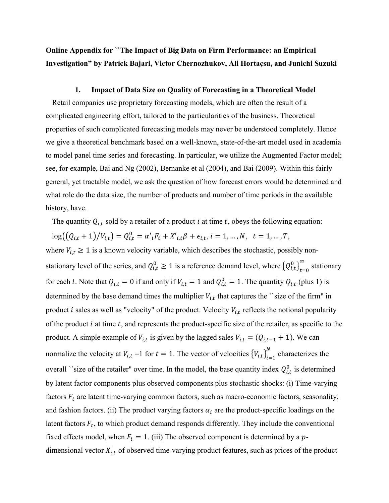Online Appendix for ``The Impact of Big Data on Firm Performance: an Empirical Investigation" by Patrick Bajari, Victor Chernozhukov, Ali Hortaçsu, and Junichi Suzuki

## 1. Impact of Data Size on Quality of Forecasting in a Theoretical Model

Retail companies use proprietary forecasting models, which are often the result of a complicated engineering effort, tailored to the particularities of the business. Theoretical properties of such complicated forecasting models may never be understood completely. Hence we give a theoretical benchmark based on a well-known, state-of-the-art model used in academia to model panel time series and forecasting. In particular, we utilize the Augmented Factor model; see, for example, Bai and Ng (2002), Bernanke et al (2004), and Bai (2009). Within this fairly general, yet tractable model, we ask the question of how forecast errors would be determined and what role do the data size, the number of products and number of time periods in the available history, have.

The quantity  $Q_{i,t}$  sold by a retailer of a product i at time t, obeys the following equation:

 $log((Q_{i,t} + 1)/V_{i,t}) = Q_{i,t}^{0} = \alpha'{}_{i}F_{t} + X'_{i,t}\beta + \epsilon_{i,t}, i = 1, ..., N, t = 1, ..., T,$ 

where  $V_{i,t} \geq 1$  is a known velocity variable, which describes the stochastic, possibly nonstationary level of the series, and  $Q_{i,t}^0 \ge 1$  is a reference demand level, where  $\left\{Q_{i,t}^0\right\}_{t=0}^\infty$  $\int_{0}^{\infty}$  stationary for each *i*. Note that  $Q_{i,t} = 0$  if and only if  $V_{i,t} = 1$  and  $Q_{i,t}^0 = 1$ . The quantity  $Q_{i,t}$  (plus 1) is determined by the base demand times the multiplier  $V_{i,t}$  that captures the `size of the firm" in product *i* sales as well as "velocity" of the product. Velocity  $V_{i,t}$  reflects the notional popularity of the product  $i$  at time  $t$ , and represents the product-specific size of the retailer, as specific to the product. A simple example of  $V_{i,t}$  is given by the lagged sales  $V_{i,t} = (Q_{i,t-1} + 1)$ . We can normalize the velocity at  $V_{i,t}$  =1 for  $t = 1$ . The vector of velocities  ${V_{i,t}}_{i=1}^N$  $\sum_{i=1}^{N}$  characterizes the overall ``size of the retailer" over time. In the model, the base quantity index  $Q_{i,t}^0$  is determined by latent factor components plus observed components plus stochastic shocks: (i) Time-varying factors  $F_t$  are latent time-varying common factors, such as macro-economic factors, seasonality, and fashion factors. (ii) The product varying factors  $\alpha_i$  are the product-specific loadings on the latent factors  $F_t$ , to which product demand responds differently. They include the conventional fixed effects model, when  $F_t = 1$ . (iii) The observed component is determined by a pdimensional vector  $X_{i,t}$  of observed time-varying product features, such as prices of the product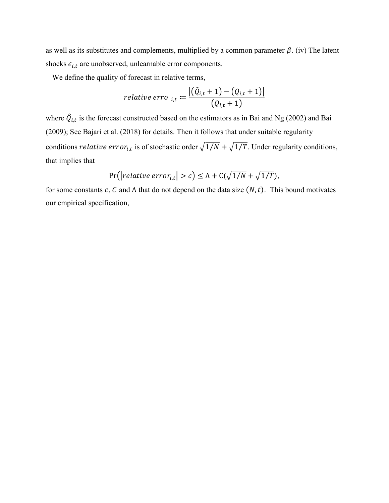as well as its substitutes and complements, multiplied by a common parameter  $\beta$ . (iv) The latent shocks  $\epsilon_{i,t}$  are unobserved, unlearnable error components.

We define the quality of forecast in relative terms,

relative error 
$$
_{i,t} := \frac{|(\hat{Q}_{i,t} + 1) - (Q_{i,t} + 1)|}{(Q_{i,t} + 1)}
$$

where  $\hat{Q}_{i,t}$  is the forecast constructed based on the estimators as in Bai and Ng (2002) and Bai (2009); See Bajari et al. (2018) for details. Then it follows that under suitable regularity conditions *relative error<sub>i,t</sub>* is of stochastic order  $\sqrt{1/N} + \sqrt{1/T}$ . Under regularity conditions, that implies that

$$
Pr(|relative\ error_{i,t}| > c) \le \Lambda + C(\sqrt{1/N} + \sqrt{1/T}),
$$

for some constants c, C and  $\Lambda$  that do not depend on the data size  $(N, t)$ . This bound motivates our empirical specification,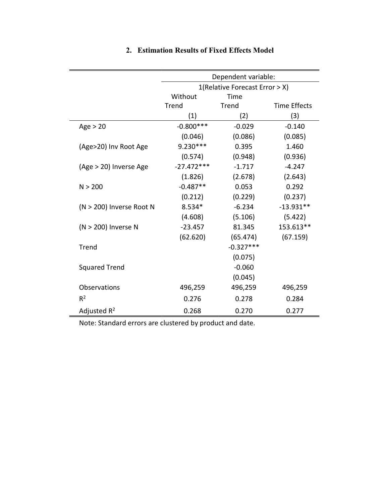|                          | Dependent variable:<br>1(Relative Forecast Error > X) |              |                     |
|--------------------------|-------------------------------------------------------|--------------|---------------------|
|                          |                                                       |              |                     |
|                          | Without                                               | Time         |                     |
|                          | Trend                                                 | <b>Trend</b> | <b>Time Effects</b> |
|                          | (1)                                                   | (2)          | (3)                 |
| Age > 20                 | $-0.800***$                                           | $-0.029$     | $-0.140$            |
|                          | (0.046)                                               | (0.086)      | (0.085)             |
| (Age>20) Inv Root Age    | $9.230***$                                            | 0.395        | 1.460               |
|                          | (0.574)                                               | (0.948)      | (0.936)             |
| (Age > 20) Inverse Age   | $-27.472***$                                          | $-1.717$     | $-4.247$            |
|                          | (1.826)                                               | (2.678)      | (2.643)             |
| N > 200                  | $-0.487**$                                            | 0.053        | 0.292               |
|                          | (0.212)                                               | (0.229)      | (0.237)             |
| (N > 200) Inverse Root N | 8.534*                                                | $-6.234$     | $-13.931**$         |
|                          | (4.608)                                               | (5.106)      | (5.422)             |
| (N > 200) Inverse N      | $-23.457$                                             | 81.345       | 153.613**           |
|                          | (62.620)                                              | (65.474)     | (67.159)            |
| Trend                    |                                                       | $-0.327***$  |                     |
|                          |                                                       | (0.075)      |                     |
| <b>Squared Trend</b>     |                                                       | $-0.060$     |                     |
|                          |                                                       | (0.045)      |                     |
| Observations             | 496,259                                               | 496,259      | 496,259             |
| $R^2$                    | 0.276                                                 | 0.278        | 0.284               |
| Adjusted $R^2$           | 0.268                                                 | 0.270        | 0.277               |

## 2. Estimation Results of Fixed Effects Model

Note: Standard errors are clustered by product and date.